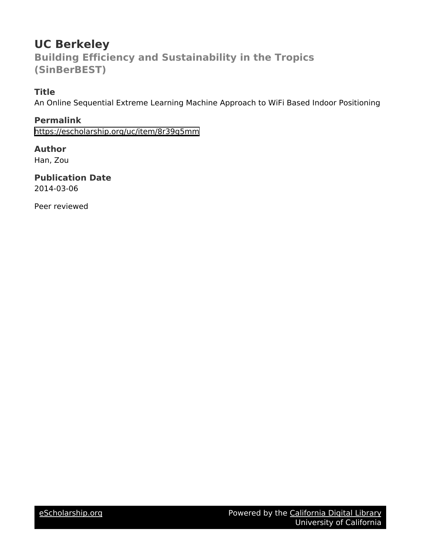## **UC Berkeley Building Efficiency and Sustainability in the Tropics (SinBerBEST)**

## **Title**

An Online Sequential Extreme Learning Machine Approach to WiFi Based Indoor Positioning

**Permalink** <https://escholarship.org/uc/item/8r39g5mm>

### **Author** Han, Zou

**Publication Date** 2014-03-06

Peer reviewed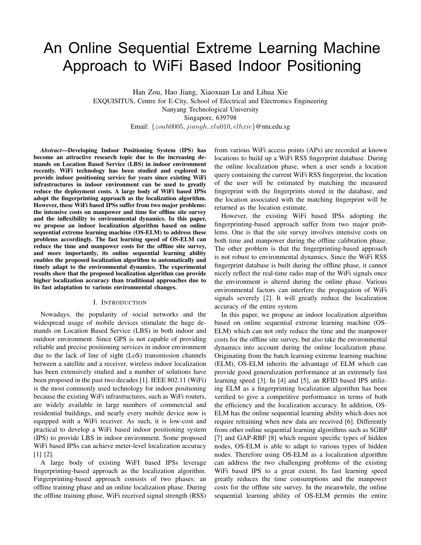# An Online Sequential Extreme Learning Machine Approach to WiFi Based Indoor Positioning

Han Zou, Hao Jiang, Xiaoxuan Lu and Lihua Xie EXQUISITUS, Centre for E-City, School of Electrical and Electronics Engineering Nanyang Technological University Singapore, 639798 Email: {zouh0005, jiangh, xlu010, elhxie}@ntu.edu.sg

*Abstract*—Developing Indoor Positioning System (IPS) has become an attractive research topic due to the increasing demands on Location Based Service (LBS) in indoor environment recently. WiFi technology has been studied and explored to provide indoor positioning service for years since existing WiFi infrastructures in indoor environment can be used to greatly reduce the deployment costs. A large body of WiFi based IPSs adopt the fingerprinting approach as the localization algorithm. However, these WiFi based IPSs suffer from two major problems: the intensive costs on manpower and time for offline site survey and the inflexibility to environmental dynamics. In this paper, we propose an indoor localization algorithm based on online sequential extreme learning machine (OS-ELM) to address these problems accordingly. The fast learning speed of OS-ELM can reduce the time and manpower costs for the offline site survey, and more importantly, its online sequential learning ability enables the proposed localization algorithm to automatically and timely adapt to the environmental dynamics. The experimental results show that the proposed localization algorithm can provide higher localization accuracy than traditional approaches due to its fast adaptation to various environmental changes.

#### I. INTRODUCTION

Nowadays, the popularity of social networks and the widespread usage of mobile devices stimulate the huge demands on Location Based Service (LBS) in both indoor and outdoor environment. Since GPS is not capable of providing reliable and precise positioning services in indoor environment due to the lack of line of sight (LoS) transmission channels between a satellite and a receiver, wireless indoor localization has been extensively studied and a number of solutions have been proposed in the past two decades [1]. IEEE 802.11 (WiFi) is the most commonly used technology for indoor positioning because the existing WiFi infrastructures, such as WiFi routers, are widely available in large numbers of commercial and residential buildings, and nearly every mobile device now is equipped with a WiFi receiver. As such, it is low-cost and practical to develop a WiFi based indoor positioning system (IPS) to provide LBS in indoor environment. Some proposed WiFi based IPSs can achieve meter-level localization accuracy [1] [2].

A large body of existing WiFI based IPSs leverage fingerprinting-based approach as the localization algorithm. Fingerprinting-based approach consists of two phases: an offline training phase and an online localization phase. During the offline training phase, WiFi received signal strength (RSS) from various WiFi access points (APs) are recorded at known locations to build up a WiFi RSS fingerprint database. During the online localization phase, when a user sends a location query containing the current WiFi RSS fingerprint, the location of the user will be estimated by matching the measured fingerprint with the fingerprints stored in the database, and the location associated with the matching fingerprint will be returned as the location estimate.

However, the existing WiFi based IPSs adopting the fingerprinting-based approach suffer from two major problems. One is that the site survey involves intensive costs on both time and manpower during the offline calibration phase. The other problem is that the fingerprinting-based approach is not robust to environmental dynamics. Since the WiFi RSS fingerprint database is built during the offline phase, it cannot nicely reflect the real-time radio map of the WiFi signals once the environment is altered during the online phase. Various environmental factors can interfere the propagation of WiFi signals severely [2]. It will greatly reduce the localization accuracy of the entire system.

In this paper, we propose an indoor localization algorithm based on online sequential extreme learning machine (OS-ELM) which can not only reduce the time and the manpower costs for the offline site survey, but also take the environmental dynamics into account during the online localization phase. Originating from the batch learning extreme learning machine (ELM), OS-ELM inherits the advantage of ELM which can provide good generalization performance at an extremely fast learning speed [3]. In [4] and [5], an RFID based IPS utilizing ELM as a fingerprinting localization algorithm has been verified to give a competitive performance in terms of both the efficiency and the localization accuracy. In addition, OS-ELM has the online sequential learning ability which does not require retraining when new data are received [6]. Differently from other online sequential learning algorithms such as SGBP [7] and GAP-RBF [8] which require specific types of hidden nodes, OS-ELM is able to adapt to various types of hidden nodes. Therefore using OS-ELM as a localization algorithm can address the two challenging problems of the existing WiFi based IPS to a great extent. Its fast learning speed greatly reduces the time consumptions and the manpower costs for the offline site survey. In the meanwhile, the online sequential learning ability of OS-ELM permits the entire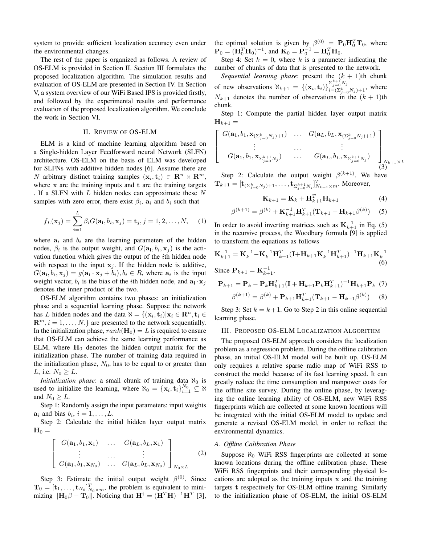system to provide sufficient localization accuracy even under the environmental changes.

The rest of the paper is organized as follows. A review of OS-ELM is provided in Section II. Section III formulates the proposed localization algorithm. The simulation results and evaluation of OS-ELM are presented in Section IV. In Section V, a system overview of our WiFi Based IPS is provided firstly, and followed by the experimental results and performance evaluation of the proposed localization algorithm. We conclude the work in Section VI.

#### II. REVIEW OF OS-ELM

ELM is a kind of machine learning algorithm based on a Single-hidden Layer Feedforward neural Network (SLFN) architecture. OS-ELM on the basis of ELM was developed for SLFNs with additive hidden nodes [6]. Assume there are N arbitrary distinct training samples  $(\mathbf{x}_i, \mathbf{t}_i) \in \mathbb{R}^n \times \mathbb{R}^m$ , where  $x$  are the training inputs and  $t$  are the training targets . If a SLFN with  $L$  hidden nodes can approximate these  $N$ samples with zero error, there exist  $\beta_i$ ,  $a_i$  and  $b_i$  such that

$$
f_L(\mathbf{x}_j) = \sum_{i=1}^L \beta_i G(\mathbf{a}_i, b_i, \mathbf{x}_j) = \mathbf{t}_j, j = 1, 2, \dots, N,
$$
 (1)

where  $a_i$  and  $b_i$  are the learning parameters of the hidden nodes,  $\beta_i$  is the output weight, and  $G(\mathbf{a_i}, b_i, \mathbf{x_j})$  is the activation function which gives the output of the ith hidden node with respect to the input  $x_i$ . If the hidden node is additive,  $G(\mathbf{a_i}, b_i, \mathbf{x}_j) = g(\mathbf{a_i} \cdot \mathbf{x}_j + b_i), b_i \in R$ , where  $\mathbf{a_i}$  is the input weight vector,  $b_i$  is the bias of the *i*th hidden node, and  $\mathbf{a}_i \cdot \mathbf{x}_j$ denotes the inner product of the two.

OS-ELM algorithm contains two phases: an initialization phase and a sequential learning phase. Suppose the network has L hidden nodes and the data  $\aleph = \{(\mathbf{x}_i, \mathbf{t}_i)| \mathbf{x}_i \in \mathbb{R}^n, \mathbf{t}_i \in$  $\mathbf{R}^m$ ,  $i = 1, \ldots, N$ . are presented to the network sequentially. In the initialization phase,  $rank(\mathbf{H}_0) = L$  is required to ensure that OS-ELM can achieve the same learning performance as ELM, where  $H_0$  denotes the hidden output matrix for the initialization phase. The number of training data required in the initialization phase,  $N_0$ , has to be equal to or greater than *L*, i.e.  $N_0 > L$ .

*Initialization phase*: a small chunk of training data  $\aleph_0$  is used to initialize the learning, where  $\aleph_0 = {\mathbf{x}_i, \mathbf{t}_i}_{i=1}^{N_0} \subseteq \aleph$ and  $N_0 \geq L$ .

Step 1: Randomly assign the input parameters: input weights  $a_i$  and bias  $b_i$ ,  $i = 1, \ldots, L$ .

Step 2: Calculate the initial hidden layer output matrix  $H_0 =$ 

$$
\begin{bmatrix}\nG(\mathbf{a}_1, b_1, \mathbf{x}_1) & \dots & G(\mathbf{a}_L, b_L, \mathbf{x}_1) \\
\vdots & \dots & \vdots \\
G(\mathbf{a}_1, b_1, \mathbf{x}_{N_0}) & \dots & G(\mathbf{a}_L, b_L, \mathbf{x}_{N_0})\n\end{bmatrix}_{N_0 \times L}
$$
\n(2)

Step 3: Estimate the initial output weight  $\beta^{(0)}$ . Since  $\mathbf{T}_0 = [\mathbf{t}_1, \dots, \mathbf{t}_{N_0}]_{N_0 \times m}^T$ , the problem is equivalent to minimizing  $\|\mathbf{H}_0\beta - \mathbf{T}_0\|$ . Noticing that  $\mathbf{H}^{\dagger} = (\mathbf{H}^T \mathbf{H})^{-1} \mathbf{H}^T$  [3], the optimal solution is given by  $\beta^{(0)} = \mathbf{P}_0 \mathbf{H}_0^T \mathbf{T}_0$ , where  ${\bf P}_0 = ({\bf H}_0^T {\bf H}_0)^{-1}$ , and  ${\bf K}_0 = {\bf P}_0^{-1} = {\bf H}_0^T {\bf H}_0$ .

Step 4: Set  $k = 0$ , where k is a parameter indicating the number of chunks of data that is presented to the network.

*Sequential learning phase*: present the  $(k + 1)$ th chunk of new observations  $\aleph_{k+1} = \{(\mathbf{x}_i, \mathbf{t}_i)\}_{i=(\mathcal{S}_k]}^{\sum_{j=0}^{k+1} N_j}$  $\sum_{j=0}^{L_j=0}$   $\sum_{j=0}^{N_j} N_j$  where  $N_{k+1}$  denotes the number of observations in the  $(k+1)$ th chunk.

Step 1: Compute the partial hidden layer output matrix  $H_{k+1} =$ 

$$
G(\mathbf{a}_1, b_1, \mathbf{x}_{(\Sigma_{j=0}^k N_j)+1}) \cdots G(\mathbf{a}_L, b_L, \mathbf{x}_{(\Sigma_{j=0}^k N_j)+1})
$$
  
\n
$$
\vdots \cdots \vdots
$$
  
\n
$$
G(\mathbf{a}_1, b_1, \mathbf{x}_{\Sigma_{j=0}^{k+1} N_j}) \cdots G(\mathbf{a}_L, b_L, \mathbf{x}_{\Sigma_{j=0}^{k+1} N_j})
$$
  
\n
$$
(3)
$$

Step 2: Calculate the output weight  $\beta^{(k+1)}$ . We have  $\mathbf{T}_{k+1} = [\mathbf{t}_{(\sum_{j=0}^{k} N_j)+1}, \dots, \mathbf{t}_{\sum_{j=0}^{k+1} N_j}]_{N_{k+1} \times m}^T$ . Moreover,

$$
\mathbf{K}_{k+1} = \mathbf{K}_k + \mathbf{H}_{k+1}^T \mathbf{H}_{k+1}
$$
 (4)

$$
^{(k+1)} = \beta^{(k)} + \mathbf{K}_{k+1}^{-1} \mathbf{H}_{k+1}^T (\mathbf{T}_{k+1} - \mathbf{H}_{k+1} \beta^{(k)})
$$
 (5)

In order to avoid inverting matrices such as  $\mathbf{K}_{k+1}^{-1}$  in Eq. (5) in the recursive process, the Woodbury formula [9] is applied to transform the equations as follows

$$
\mathbf{K}_{k+1}^{-1} = \mathbf{K}_{k}^{-1} - \mathbf{K}_{k}^{-1} \mathbf{H}_{k+1}^{T} (\mathbf{I} + \mathbf{H}_{k+1} \mathbf{K}_{k}^{-1} \mathbf{H}_{k+1}^{T})^{-1} \mathbf{H}_{k+1} \mathbf{K}_{k}^{-1}
$$
\n(6)

SINCE  $\mathbf{r}$   $_{k+1}$  $k+1$ 

 $\beta$ 

 $\lceil$  $\overline{1}$  $\overline{1}$  $\overline{1}$ 

$$
\mathbf{P}_{k+1} = \mathbf{P}_k - \mathbf{P}_k \mathbf{H}_{k+1}^T (\mathbf{I} + \mathbf{H}_{k+1} \mathbf{P}_k \mathbf{H}_{k+1}^T)^{-1} \mathbf{H}_{k+1} \mathbf{P}_k \tag{7}
$$

$$
\beta^{(k+1)} = \beta^{(k)} + \mathbf{P}_{k+1} \mathbf{H}_{k+1}^T (\mathbf{T}_{k+1} - \mathbf{H}_{k+1} \beta^{(k)}) \tag{8}
$$

Step 3: Set  $k = k + 1$ . Go to Step 2 in this online sequential learning phase.

#### III. PROPOSED OS-ELM LOCALIZATION ALGORITHM

The proposed OS-ELM approach considers the localization problem as a regression problem. During the offline calibration phase, an initial OS-ELM model will be built up. OS-ELM only requires a relative sparse radio map of WiFi RSS to construct the model because of its fast learning speed. It can greatly reduce the time consumption and manpower costs for the offline site survey. During the online phase, by leveraging the online learning ability of OS-ELM, new WiFi RSS fingerprints which are collected at some known locations will be integrated with the initial OS-ELM model to update and generate a revised OS-ELM model, in order to reflect the environmental dynamics.

#### *A. Offline Calibration Phase*

Suppose  $\aleph_0$  WiFi RSS fingerprints are collected at some known locations during the offline calibration phase. These WiFi RSS fingerprints and their corresponding physical locations are adopted as the training inputs x and the training targets t respectively for OS-ELM offline training. Similarly to the initialization phase of OS-ELM, the initial OS-ELM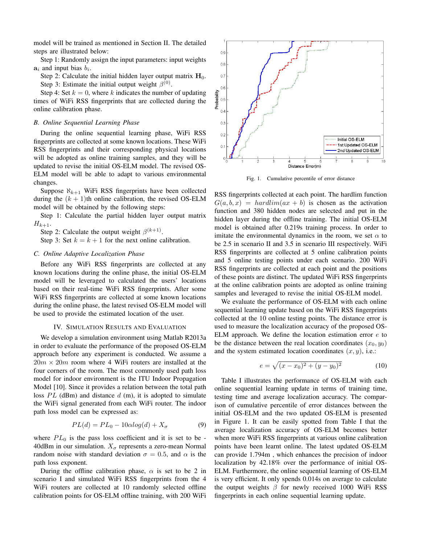model will be trained as mentioned in Section II. The detailed steps are illustrated below:

Step 1: Randomly assign the input parameters: input weights  $a_i$  and input bias  $b_i$ .

Step 2: Calculate the initial hidden layer output matrix  $H_0$ . Step 3: Estimate the initial output weight  $\beta^{(0)}$ .

Step 4: Set  $k = 0$ , where k indicates the number of updating times of WiFi RSS fingerprints that are collected during the online calibration phase.

#### *B. Online Sequential Learning Phase*

During the online sequential learning phase, WiFi RSS fingerprints are collected at some known locations. These WiFi RSS fingerprints and their corresponding physical locations will be adopted as online training samples, and they will be updated to revise the initial OS-ELM model. The revised OS-ELM model will be able to adapt to various environmental changes.

Suppose  $\aleph_{k+1}$  WiFi RSS fingerprints have been collected during the  $(k + 1)$ th online calibration, the revised OS-ELM model will be obtained by the following steps:

Step 1: Calculate the partial hidden layer output matrix  $H_{k+1}$ .

Step 2: Calculate the output weight  $\beta^{(k+1)}$ .

Step 3: Set  $k = k + 1$  for the next online calibration.

#### *C. Online Adaptive Localization Phase*

Before any WiFi RSS fingerprints are collected at any known locations during the online phase, the initial OS-ELM model will be leveraged to calculated the users' locations based on their real-time WiFi RSS fingerprints. After some WiFi RSS fingerprints are collected at some known locations during the online phase, the latest revised OS-ELM model will be used to provide the estimated location of the user.

#### IV. SIMULATION RESULTS AND EVALUATION

We develop a simulation environment using Matlab R2013a in order to evaluate the performance of the proposed OS-ELM approach before any experiment is conducted. We assume a  $20m \times 20m$  room where 4 WiFi routers are installed at the four corners of the room. The most commonly used path loss model for indoor environment is the ITU Indoor Propagation Model [10]. Since it provides a relation between the total path loss  $PL$  (dBm) and distance d (m), it is adopted to simulate the WiFi signal generated from each WiFi router. The indoor path loss model can be expressed as:

$$
PL(d) = PL_0 - 10\alpha log(d) + X_{\sigma}
$$
\n(9)

where  $PL_0$  is the pass loss coefficient and it is set to be -40dBm in our simulation.  $X_{\sigma}$  represents a zero-mean Normal random noise with standard deviation  $\sigma = 0.5$ , and  $\alpha$  is the path loss exponent.

During the offline calibration phase,  $\alpha$  is set to be 2 in scenario I and simulated WiFi RSS fingerprints from the 4 WiFi routers are collected at 10 randomly selected offline calibration points for OS-ELM offline training, with 200 WiFi



Fig. 1. Cumulative percentile of error distance

RSS fingerprints collected at each point. The hardlim function  $G(a, b, x) = hardlim(ax + b)$  is chosen as the activation function and 380 hidden nodes are selected and put in the hidden layer during the offline training. The initial OS-ELM model is obtained after 0.219s training process. In order to imitate the environmental dynamics in the room, we set  $\alpha$  to be 2.5 in scenario II and 3.5 in scenario III respectively. WiFi RSS fingerprints are collected at 5 online calibration points and 5 online testing points under each scenario. 200 WiFi RSS fingerprints are collected at each point and the positions of these points are distinct. The updated WiFi RSS fingerprints at the online calibration points are adopted as online training samples and leveraged to revise the initial OS-ELM model.

We evaluate the performance of OS-ELM with each online sequential learning update based on the WiFi RSS fingerprints collected at the 10 online testing points. The distance error is used to measure the localization accuracy of the proposed OS-ELM approach. We define the location estimation error  $e$  to be the distance between the real location coordinates  $(x_0, y_0)$ and the system estimated location coordinates  $(x, y)$ , i.e.:

$$
e = \sqrt{(x - x_0)^2 + (y - y_0)^2}
$$
 (10)

Table I illustrates the performance of OS-ELM with each online sequential learning update in terms of training time, testing time and average localization accuracy. The comparison of cumulative percentile of error distances between the initial OS-ELM and the two updated OS-ELM is presented in Figure 1. It can be easily spotted from Table I that the average localization accuracy of OS-ELM becomes better when more WiFi RSS fingerprints at various online calibration points have been learnt online. The latest updated OS-ELM can provide 1.794m , which enhances the precision of indoor localization by 42.18% over the performance of initial OS-ELM. Furthermore, the online sequential learning of OS-ELM is very efficient. It only spends 0.014s on average to calculate the output weights  $\beta$  for newly received 1000 WiFi RSS fingerprints in each online sequential learning update.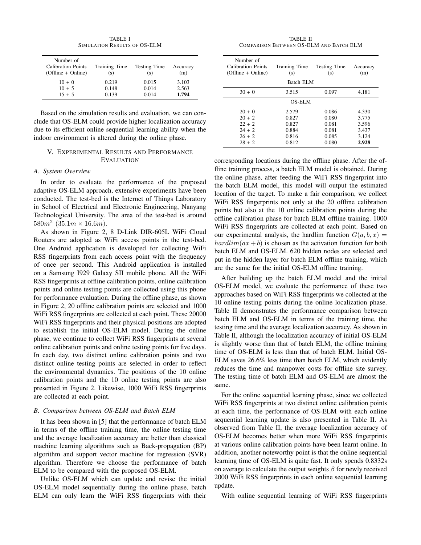TABLE I SIMULATION RESULTS OF OS-ELM

| Number of<br><b>Calibration Points</b><br>(Offline + Online) | Training Time<br>(s) | Testing Time<br>(s) | Accuracy<br>(m) |
|--------------------------------------------------------------|----------------------|---------------------|-----------------|
| $10 + 0$                                                     | 0.219                | 0.015               | 3.103           |
| $10 + 5$                                                     | 0.148                | 0.014               | 2.563           |
| $15 + 5$                                                     | 0.139                | 0.014               | 1.794           |

Based on the simulation results and evaluation, we can conclude that OS-ELM could provide higher localization accuracy due to its efficient online sequential learning ability when the indoor environment is altered during the online phase.

#### V. EXPERIMENTAL RESULTS AND PERFORMANCE EVALUATION

#### *A. System Overview*

In order to evaluate the performance of the proposed adaptive OS-ELM approach, extensive experiments have been conducted. The test-bed is the Internet of Things Laboratory in School of Electrical and Electronic Engineering, Nanyang Technological University. The area of the test-bed is around  $580m^2$  (35.1m  $\times$  16.6m).

As shown in Figure 2, 8 D-Link DIR-605L WiFi Cloud Routers are adopted as WiFi access points in the test-bed. One Android application is developed for collecting WiFi RSS fingerprints from each access point with the frequency of once per second. This Android application is installed on a Samsung I929 Galaxy SII mobile phone. All the WiFi RSS fingerprints at offline calibration points, online calibration points and online testing points are collected using this phone for performance evaluation. During the offline phase, as shown in Figure 2, 20 offline calibration points are selected and 1000 WiFi RSS fingerprints are collected at each point. These 20000 WiFi RSS fingerprints and their physical positions are adopted to establish the initial OS-ELM model. During the online phase, we continue to collect WiFi RSS fingerprints at several online calibration points and online testing points for five days. In each day, two distinct online calibration points and two distinct online testing points are selected in order to reflect the environmental dynamics. The positions of the 10 online calibration points and the 10 online testing points are also presented in Figure 2. Likewise, 1000 WiFi RSS fingerprints are collected at each point.

#### *B. Comparison between OS-ELM and Batch ELM*

It has been shown in [5] that the performance of batch ELM in terms of the offline training time, the online testing time and the average localization accuracy are better than classical machine learning algorithms such as Back-propagation (BP) algorithm and support vector machine for regression (SVR) algorithm. Therefore we choose the performance of batch ELM to be compared with the proposed OS-ELM.

Unlike OS-ELM which can update and revise the initial OS-ELM model sequentially during the online phase, batch ELM can only learn the WiFi RSS fingerprints with their

TABLE II COMPARISON BETWEEN OS-ELM AND BATCH ELM

| Number of<br><b>Calibration Points</b><br>$(Offline + Online)$ | Training Time<br>(s) | Testing Time<br>(s) | Accuracy<br>(m) |  |
|----------------------------------------------------------------|----------------------|---------------------|-----------------|--|
| Batch ELM                                                      |                      |                     |                 |  |
| $30 + 0$                                                       | 3.515                | 0.097               | 4.181           |  |
| OS-ELM                                                         |                      |                     |                 |  |
| $20 + 0$                                                       | 2.579                | 0.086               | 4.330           |  |
| $20 + 2$                                                       | 0.827                | 0.080               | 3.775           |  |
| $22 + 2$                                                       | 0.827                | 0.081               | 3.596           |  |
| $24 + 2$                                                       | 0.884                | 0.081               | 3.437           |  |
| $26 + 2$                                                       | 0.816                | 0.085               | 3.124           |  |
| $28 + 2$                                                       | 0.812                | 0.080               | 2.928           |  |

corresponding locations during the offline phase. After the offline training process, a batch ELM model is obtained. During the online phase, after feeding the WiFi RSS fingerprint into the batch ELM model, this model will output the estimated location of the target. To make a fair comparison, we collect WiFi RSS fingerprints not only at the 20 offline calibration points but also at the 10 online calibration points during the offline calibration phase for batch ELM offline training. 1000 WiFi RSS fingerprints are collected at each point. Based on our experimental analysis, the hardlim function  $G(a, b, x) =$  $\text{hardlim}(ax+b)$  is chosen as the activation function for both batch ELM and OS-ELM. 620 hidden nodes are selected and put in the hidden layer for batch ELM offline training, which are the same for the initial OS-ELM offline training.

After building up the batch ELM model and the initial OS-ELM model, we evaluate the performance of these two approaches based on WiFi RSS fingerprints we collected at the 10 online testing points during the online localization phase. Table II demonstrates the performance comparison between batch ELM and OS-ELM in terms of the training time, the testing time and the average localization accuracy. As shown in Table II, although the localization accuracy of initial OS-ELM is slightly worse than that of batch ELM, the offline training time of OS-ELM is less than that of batch ELM. Initial OS-ELM saves 26.6% less time than batch ELM, which evidently reduces the time and manpower costs for offline site survey. The testing time of batch ELM and OS-ELM are almost the same.

For the online sequential learning phase, since we collected WiFi RSS fingerprints at two distinct online calibration points at each time, the performance of OS-ELM with each online sequential learning update is also presented in Table II. As observed from Table II, the average localization accuracy of OS-ELM becomes better when more WiFi RSS fingerprints at various online calibration points have been learnt online. In addition, another noteworthy point is that the online sequential learning time of OS-ELM is quite fast. It only spends 0.8332s on average to calculate the output weights  $\beta$  for newly received 2000 WiFi RSS fingerprints in each online sequential learning update.

With online sequential learning of WiFi RSS fingerprints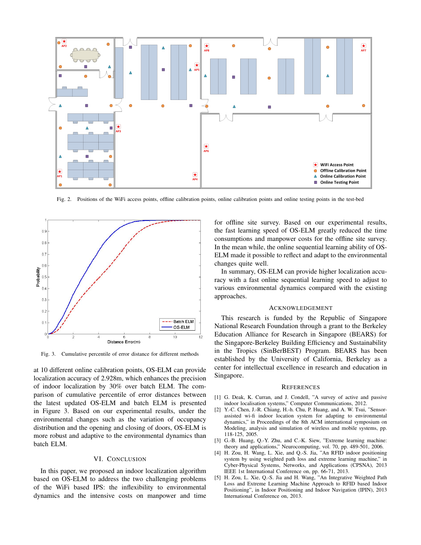

Fig. 2. Positions of the WiFi access points, offline calibration points, online calibration points and online testing points in the test-bed



Fig. 3. Cumulative percentile of error distance for different methods

at 10 different online calibration points, OS-ELM can provide localization accuracy of 2.928m, which enhances the precision of indoor localization by 30% over batch ELM. The comparison of cumulative percentile of error distances between the latest updated OS-ELM and batch ELM is presented in Figure 3. Based on our experimental results, under the environmental changes such as the variation of occupancy distribution and the opening and closing of doors, OS-ELM is more robust and adaptive to the environmental dynamics than batch ELM.

#### VI. CONCLUSION

In this paper, we proposed an indoor localization algorithm based on OS-ELM to address the two challenging problems of the WiFi based IPS: the inflexibility to environmental dynamics and the intensive costs on manpower and time

for offline site survey. Based on our experimental results, the fast learning speed of OS-ELM greatly reduced the time consumptions and manpower costs for the offline site survey. In the mean while, the online sequential learning ability of OS-ELM made it possible to reflect and adapt to the environmental changes quite well.

In summary, OS-ELM can provide higher localization accuracy with a fast online sequential learning speed to adjust to various environmental dynamics compared with the existing approaches.

#### ACKNOWLEDGEMENT

This research is funded by the Republic of Singapore National Research Foundation through a grant to the Berkeley Education Alliance for Research in Singapore (BEARS) for the Singapore-Berkeley Building Efficiency and Sustainability in the Tropics (SinBerBEST) Program. BEARS has been established by the University of California, Berkeley as a center for intellectual excellence in research and education in Singapore.

#### **REFERENCES**

- [1] G. Deak, K. Curran, and J. Condell, "A survey of active and passive indoor localisation systems," Computer Communications, 2012.
- [2] Y.-C. Chen, J.-R. Chiang, H.-h. Chu, P. Huang, and A. W. Tsui, "Sensorassisted wi-fi indoor location system for adapting to environmental dynamics," in Proceedings of the 8th ACM international symposium on Modeling, analysis and simulation of wireless and mobile systems, pp. 118-125, 2005.
- [3] G.-B. Huang, Q.-Y. Zhu, and C.-K. Siew, "Extreme learning machine: theory and applications," Neurocomputing, vol. 70, pp. 489-501, 2006.
- [4] H. Zou, H. Wang, L. Xie, and Q.-S. Jia, "An RFID indoor positioning system by using weighted path loss and extreme learning machine," in Cyber-Physical Systems, Networks, and Applications (CPSNA), 2013 IEEE 1st International Conference on, pp. 66-71, 2013.
- [5] H. Zou, L. Xie, Q.-S. Jia and H. Wang, "An Integrative Weighted Path Loss and Extreme Learning Machine Approach to RFID based Indoor Positioning", in Indoor Positioning and Indoor Navigation (IPIN), 2013 International Conference on, 2013.